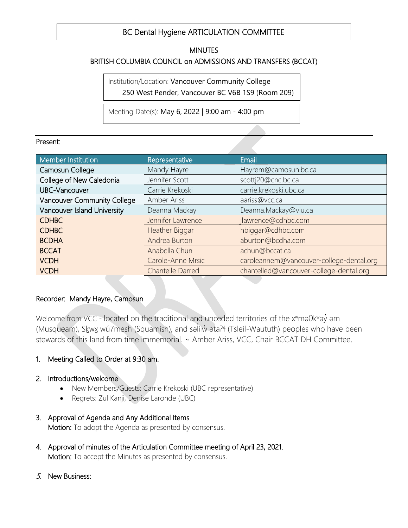#### $\overline{a}$ BC Dental Hygiene ARTICULATION COMMITTEE

### MINUTES

## BRITISH COLUMBIA COUNCIL on ADMISSIONS AND TRANSFERS (BCCAT)  $\overline{a}$

 Institution/Location: Vancouver Community College 250 West Pender, Vancouver BC V6B 1S9 (Room 209)

Ĩ. Meeting Date(s): May 6, 2022 | 9:00 am - 4:00 pm

#### Present:

| Member Institution          | Representative          | Email                                    |
|-----------------------------|-------------------------|------------------------------------------|
| Camosun College             | Mandy Hayre             | Hayrem@camosun.bc.ca                     |
| College of New Caledonia    | Jennifer Scott          | scottj20@cnc.bc.ca                       |
| <b>UBC-Vancouver</b>        | Carrie Krekoski         | carrie.krekoski.ubc.ca                   |
| Vancouver Community College | Amber Ariss             | aariss@vcc.ca                            |
| Vancouver Island University | Deanna Mackay           | Deanna.Mackay@viu.ca                     |
| <b>CDHBC</b>                | Jennifer Lawrence       | jlawrence@cdhbc.com                      |
| <b>CDHBC</b>                | Heather Biggar          | hbiggar@cdhbc.com                        |
| <b>BCDHA</b>                | Andrea Burton           | aburton@bcdha.com                        |
| <b>BCCAT</b>                | Anabella Chun           | achun@bccat.ca                           |
| <b>VCDH</b>                 | Carole-Anne Mrsic       | caroleannem@vancouver-college-dental.org |
| <b>VCDH</b>                 | <b>Chantelle Darred</b> | chantelled@vancouver-college-dental.org  |

#### Recorder: Mandy Hayre, Camosun

Welcome from VCC - located on the traditional and unceded territories of the xʷməθkʷəy̓ əm (Musqueam), Skwx wú7mesh (Squamish), and səlilw əta?t (Tsleil-Waututh) peoples who have been stewards of this land from time immemorial. ~ Amber Ariss, VCC, Chair BCCAT DH Committee.

### 1. Meeting Called to Order at 9:30 am.

- 2. Introductions/welcome
	- New Members/Guests: Carrie Krekoski (UBC representative)
	- Regrets: Zul Kanji, Denise Laronde (UBC)
- 3. Approval of Agenda and Any Additional Items Motion: To adopt the Agenda as presented by consensus.
- 4. Approval of minutes of the Articulation Committee meeting of April 23, 2021. Motion: To accept the Minutes as presented by consensus.
- 5. New Business: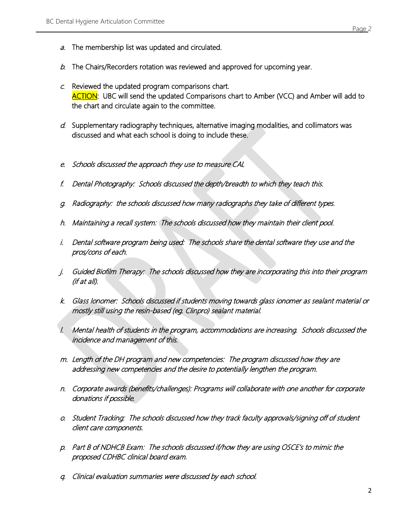- a. The membership list was updated and circulated.
- $b.$  The Chairs/Recorders rotation was reviewed and approved for upcoming year.
- $c$ . Reviewed the updated program comparisons chart. ACTION: UBC will send the updated Comparisons chart to Amber (VCC) and Amber will add to the chart and circulate again to the committee.
- d. Supplementary radiography techniques, alternative imaging modalities, and collimators was discussed and what each school is doing to include these.
- e. Schools discussed the approach they use to measure CAL
- f. Dental Photography: Schools discussed the depth/breadth to which they teach this.
- g. Radiography: the schools discussed how many radiographs they take of different types.
- h. Maintaining a recall system: The schools discussed how they maintain their client pool.
- i. Dental software program being used: The schools share the dental software they use and the pros/cons of each.
- j. Guided Biofilm Therapy: The schools discussed how they are incorporating this into their program (if at all).
- k. Glass Ionomer: Schools discussed if students moving towards glass ionomer as sealant material or mostly still using the resin-based (eg. Clinpro) sealant material.
- l. Mental health of students in the program, accommodations are increasing. Schools discussed the incidence and management of this.
- m. Length of the DH program and new competencies: The program discussed how they are addressing new competencies and the desire to potentially lengthen the program.
- n. Corporate awards (benefits/challenges): Programs will collaborate with one another for corporate donations if possible.
- o. Student Tracking: The schools discussed how they track faculty approvals/signing off of student client care components.
- p. Part B of NDHCB Exam: The schools discussed if/how they are using OSCE's to mimic the proposed CDHBC clinical board exam.
- q. Clinical evaluation summaries were discussed by each school.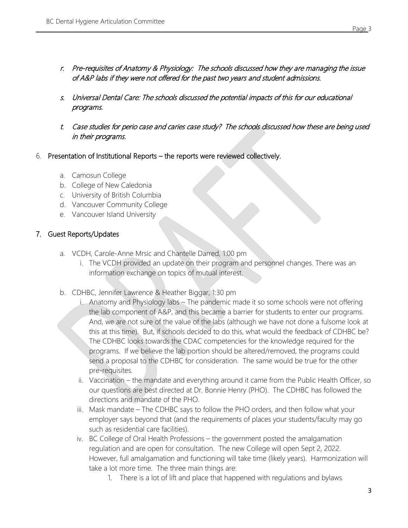- r. Pre-requisites of Anatomy & Physiology: The schools discussed how they are managing the issue of A&P labs if they were not offered for the past two years and student admissions.
- s. Universal Dental Care: The schools discussed the potential impacts of this for our educational programs.
- t. Case studies for perio case and caries case study? The schools discussed how these are being used in their programs.
- 6. Presentation of Institutional Reports the reports were reviewed collectively.
	- a. Camosun College
	- b. College of New Caledonia
	- c. University of British Columbia
	- d. Vancouver Community College
	- e. Vancouver Island University

### 7. Guest Reports/Updates

- a. VCDH, Carole-Anne Mrsic and Chantelle Darred, 1:00 pm
	- i. The VCDH provided an update on their program and personnel changes. There was an information exchange on topics of mutual interest.
- b. CDHBC, Jennifer Lawrence & Heather Biggar, 1:30 pm
	- i. Anatomy and Physiology labs The pandemic made it so some schools were not offering the lab component of A&P, and this became a barrier for students to enter our programs. And, we are not sure of the value of the labs (although we have not done a fulsome look at this at this time). But, if schools decided to do this, what would the feedback of CDHBC be? The CDHBC looks towards the CDAC competencies for the knowledge required for the programs. If we believe the lab portion should be altered/removed, the programs could send a proposal to the CDHBC for consideration. The same would be true for the other pre-requisites.
	- ii. Vaccination the mandate and everything around it came from the Public Health Officer, so our questions are best directed at Dr. Bonnie Henry (PHO). The CDHBC has followed the directions and mandate of the PHO.
	- iii. Mask mandate The CDHBC says to follow the PHO orders, and then follow what your employer says beyond that (and the requirements of places your students/faculty may go such as residential care facilities).
	- iv. BC College of Oral Health Professions the government posted the amalgamation regulation and are open for consultation. The new College will open Sept 2, 2022. However, full amalgamation and functioning will take time (likely years). Harmonization will take a lot more time. The three main things are:
		- 1. There is a lot of lift and place that happened with regulations and bylaws.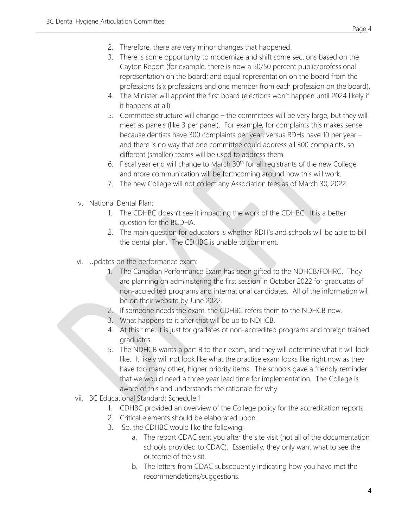- 2. Therefore, there are very minor changes that happened.
- 3. There is some opportunity to modernize and shift some sections based on the Cayton Report (for example, there is now a 50/50 percent public/professional representation on the board; and equal representation on the board from the professions (six professions and one member from each profession on the board).
- 4. The Minister will appoint the first board (elections won't happen until 2024 likely if it happens at all).
- 5. Committee structure will change the committees will be very large, but they will meet as panels (like 3 per panel). For example, for complaints this makes sense because dentists have 300 complaints per year, versus RDHs have 10 per year – and there is no way that one committee could address all 300 complaints, so different (smaller) teams will be used to address them.
- 6. Fiscal year end will change to March  $30<sup>th</sup>$  for all registrants of the new College, and more communication will be forthcoming around how this will work.
- 7. The new College will not collect any Association fees as of March 30, 2022.
- v. National Dental Plan:
	- 1. The CDHBC doesn't see it impacting the work of the CDHBC. It is a better question for the BCDHA.
	- 2. The main question for educators is whether RDH's and schools will be able to bill the dental plan. The CDHBC is unable to comment.
- vi. Updates on the performance exam:
	- 1. The Canadian Performance Exam has been gifted to the NDHCB/FDHRC. They are planning on administering the first session in October 2022 for graduates of non-accredited programs and international candidates. All of the information will be on their website by June 2022.
	- 2. If someone needs the exam, the CDHBC refers them to the NDHCB now.
	- 3. What happens to it after that will be up to NDHCB.
	- 4. At this time, it is just for gradates of non-accredited programs and foreign trained graduates.
	- 5. The NDHCB wants a part B to their exam, and they will determine what it will look like. It likely will not look like what the practice exam looks like right now as they have too many other, higher priority items. The schools gave a friendly reminder that we would need a three year lead time for implementation. The College is aware of this and understands the rationale for why.
- vii. BC Educational Standard: Schedule 1
	- 1. CDHBC provided an overview of the College policy for the accreditation reports
	- 2. Critical elements should be elaborated upon.
	- 3. So, the CDHBC would like the following:
		- a. The report CDAC sent you after the site visit (not all of the documentation schools provided to CDAC). Essentially, they only want what to see the outcome of the visit.
		- b. The letters from CDAC subsequently indicating how you have met the recommendations/suggestions.